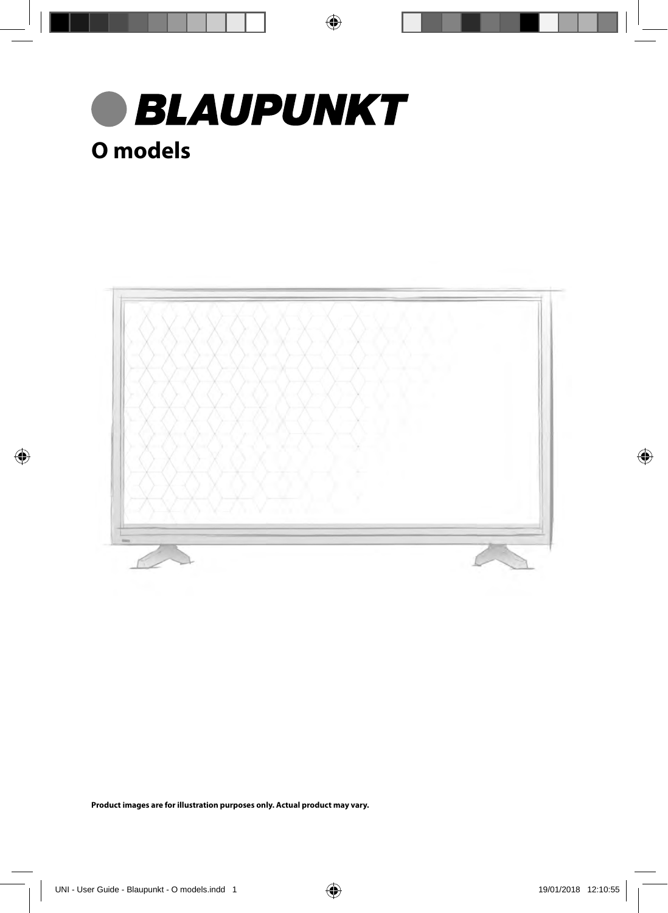



**Product images are for illustration purposes only. Actual product may vary.**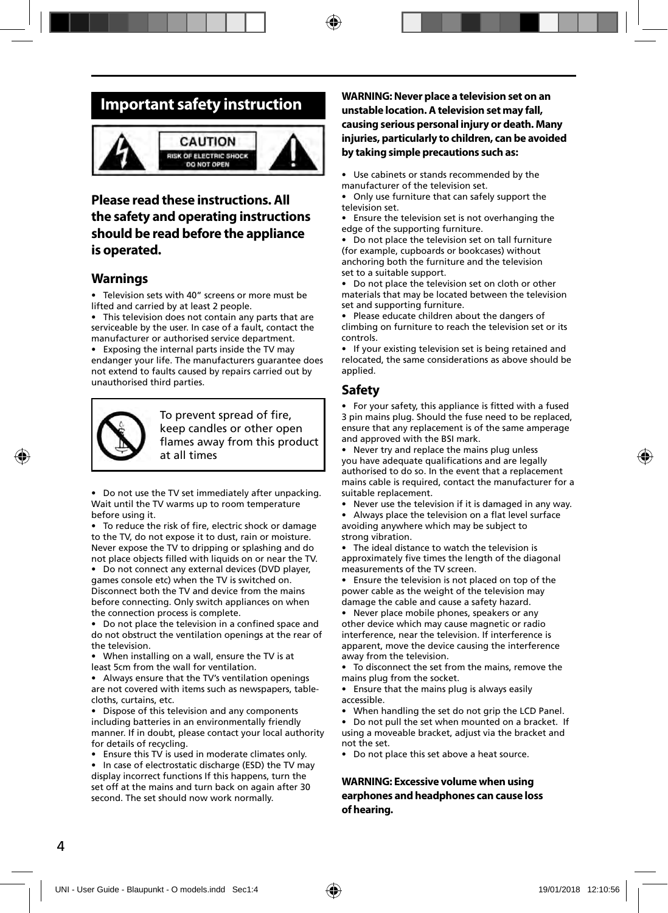### **Important safety instruction**



#### **Please read these instructions. All the safety and operating instructions should be read before the appliance is operated.**

#### **Warnings**

• Television sets with 40" screens or more must be lifted and carried by at least 2 people.

• This television does not contain any parts that are serviceable by the user. In case of a fault, contact the manufacturer or authorised service department.

• Exposing the internal parts inside the TV may endanger your life. The manufacturers guarantee does not extend to faults caused by repairs carried out by unauthorised third parties.



To prevent spread of fire, keep candles or other open flames away from this product at all times

• Do not use the TV set immediately after unpacking. Wait until the TV warms up to room temperature before using it.

• To reduce the risk of fire, electric shock or damage to the TV, do not expose it to dust, rain or moisture. Never expose the TV to dripping or splashing and do not place objects filled with liquids on or near the TV.

• Do not connect any external devices (DVD player, games console etc) when the TV is switched on. Disconnect both the TV and device from the mains before connecting. Only switch appliances on when the connection process is complete.

Do not place the television in a confined space and do not obstruct the ventilation openings at the rear of the television.

• When installing on a wall, ensure the TV is at least 5cm from the wall for ventilation.

• Always ensure that the TV's ventilation openings are not covered with items such as newspapers, tablecloths, curtains, etc.

Dispose of this television and any components including batteries in an environmentally friendly manner. If in doubt, please contact your local authority for details of recycling.

• Ensure this TV is used in moderate climates only.

In case of electrostatic discharge (ESD) the TV may display incorrect functions If this happens, turn the set off at the mains and turn back on again after 30 second. The set should now work normally.

**WARNING: Never place a television set on an unstable location. A television set may fall, causing serious personal injury or death. Many injuries, particularly to children, can be avoided by taking simple precautions such as:**

• Use cabinets or stands recommended by the manufacturer of the television set.

• Only use furniture that can safely support the television set.

• Ensure the television set is not overhanging the edge of the supporting furniture.

• Do not place the television set on tall furniture (for example, cupboards or bookcases) without anchoring both the furniture and the television set to a suitable support.

• Do not place the television set on cloth or other materials that may be located between the television set and supporting furniture.

• Please educate children about the dangers of climbing on furniture to reach the television set or its controls.

• If your existing television set is being retained and relocated, the same considerations as above should be applied.

#### **Safety**

• For your safety, this appliance is fi tted with a fused 3 pin mains plug. Should the fuse need to be replaced, ensure that any replacement is of the same amperage and approved with the BSI mark.

• Never try and replace the mains plug unless you have adequate qualifications and are legally authorised to do so. In the event that a replacement mains cable is required, contact the manufacturer for a suitable replacement.

• Never use the television if it is damaged in any way.

Always place the television on a flat level surface avoiding anywhere which may be subject to strong vibration.

• The ideal distance to watch the television is approximately five times the length of the diagonal measurements of the TV screen.

Ensure the television is not placed on top of the power cable as the weight of the television may damage the cable and cause a safety hazard.

• Never place mobile phones, speakers or any other device which may cause magnetic or radio interference, near the television. If interference is apparent, move the device causing the interference away from the television.

• To disconnect the set from the mains, remove the mains plug from the socket.

• Ensure that the mains plug is always easily accessible.

When handling the set do not grip the LCD Panel.

• Do not pull the set when mounted on a bracket. If using a moveable bracket, adjust via the bracket and not the set.

• Do not place this set above a heat source.

**WARNING: Excessive volume when using earphones and headphones can cause loss of hearing.**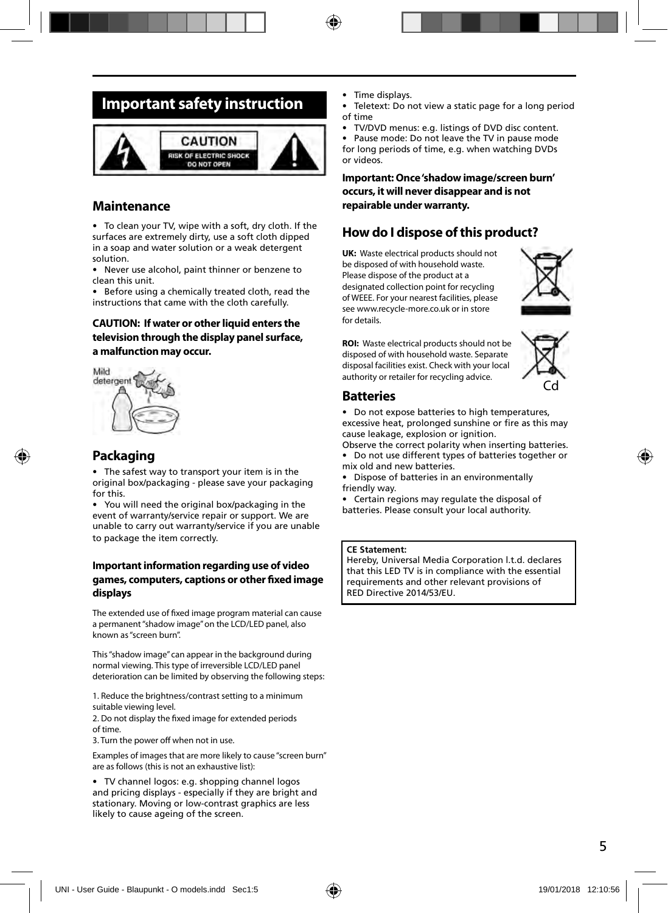### **Important safety instruction**



#### **Maintenance**

• To clean your TV, wipe with a soft, dry cloth. If the surfaces are extremely dirty, use a soft cloth dipped in a soap and water solution or a weak detergent solution.

• Never use alcohol, paint thinner or benzene to clean this unit.

• Before using a chemically treated cloth, read the instructions that came with the cloth carefully.

#### **CAUTION: If water or other liquid enters the television through the display panel surface, a malfunction may occur.**



#### **Packaging**

• The safest way to transport your item is in the original box/packaging - please save your packaging for this.

• You will need the original box/packaging in the event of warranty/service repair or support. We are unable to carry out warranty/service if you are unable to package the item correctly.

#### **Important information regarding use of video**  games, computers, captions or other fixed image **displays**

The extended use of fixed image program material can cause a permanent "shadow image" on the LCD/LED panel, also known as "screen burn".

This "shadow image" can appear in the background during normal viewing. This type of irreversible LCD/LED panel deterioration can be limited by observing the following steps:

1. Reduce the brightness/contrast setting to a minimum suitable viewing level.

2. Do not display the fixed image for extended periods of time.

3. Turn the power off when not in use.

Examples of images that are more likely to cause "screen burn" are as follows (this is not an exhaustive list):

• TV channel logos: e.g. shopping channel logos and pricing displays - especially if they are bright and stationary. Moving or low-contrast graphics are less likely to cause ageing of the screen.

- Time displays.
- Teletext: Do not view a static page for a long period of time
- TV/DVD menus: e.g. listings of DVD disc content.

• Pause mode: Do not leave the TV in pause mode for long periods of time, e.g. when watching DVDs or videos.

**Important: Once 'shadow image/screen burn' occurs, it will never disappear and is not repairable under warranty.**

#### **How do I dispose of this product?**

**UK:** Waste electrical products should not be disposed of with household waste. Please dispose of the product at a designated collection point for recycling of WEEE. For your nearest facilities, please see www.recycle-more.co.uk or in store for details.



**ROI:** Waste electrical products should not be disposed of with household waste. Separate disposal facilities exist. Check with your local authority or retailer for recycling advice.



#### **Batteries**

- Do not expose batteries to high temperatures, excessive heat, prolonged sunshine or fire as this may cause leakage, explosion or ignition.
- Observe the correct polarity when inserting batteries. • Do not use different types of batteries together or mix old and new batteries
- Dispose of batteries in an environmentally friendly way.
- Certain regions may regulate the disposal of batteries. Please consult your local authority.

#### **CE Statement:**

Hereby, Universal Media Corporation l.t.d. declares that this LED TV is in compliance with the essential requirements and other relevant provisions of RED Directive 2014/53/EU.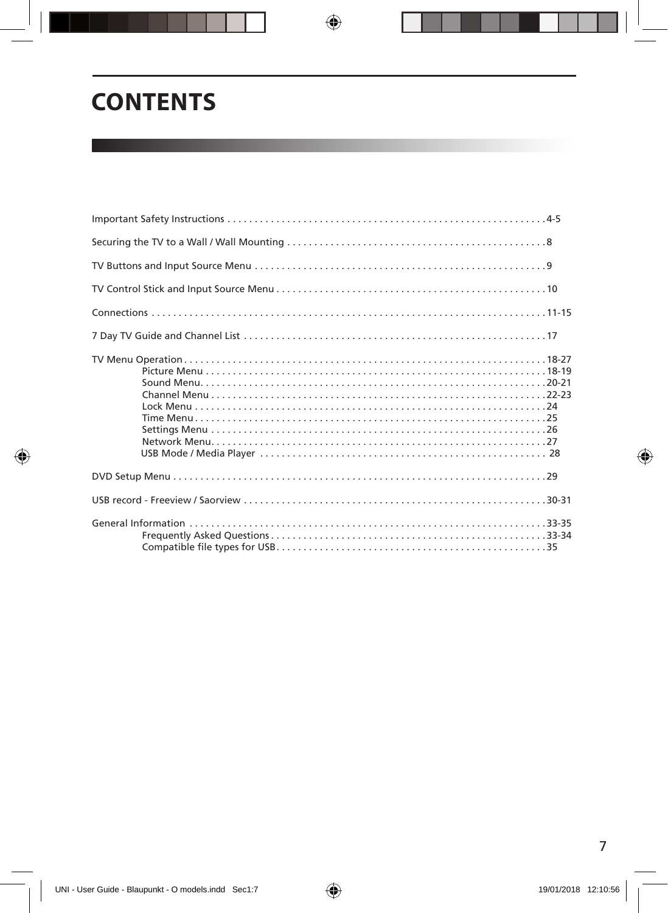# **CONTENTS**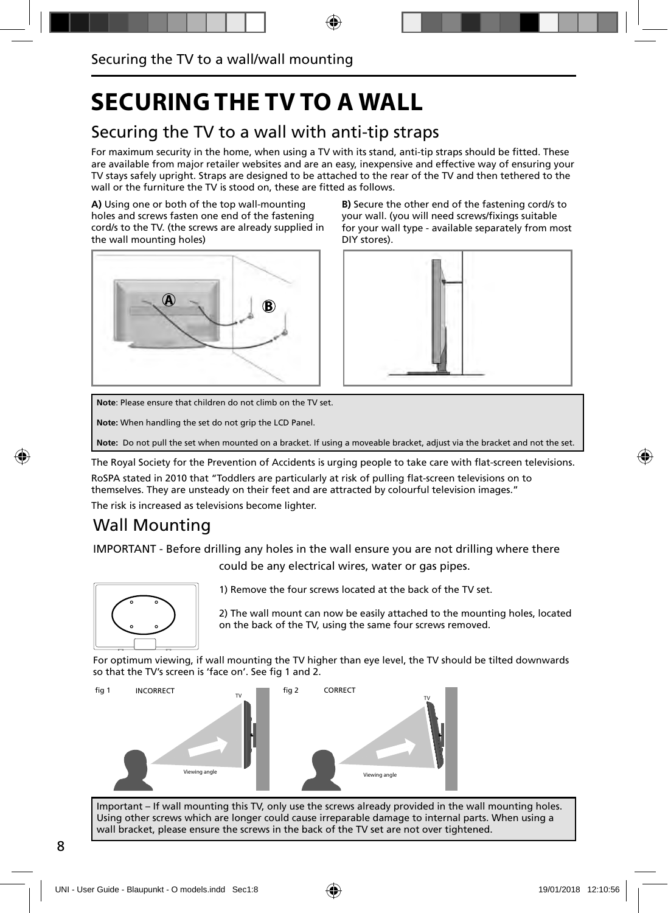## **SECURING THE TV TO A WALL**

### Securing the TV to a wall with anti-tip straps

For maximum security in the home, when using a TV with its stand, anti-tip straps should be fitted. These are available from major retailer websites and are an easy, inexpensive and effective way of ensuring your TV stays safely upright. Straps are designed to be attached to the rear of the TV and then tethered to the wall or the furniture the TV is stood on, these are fitted as follows.

**A)** Using one or both of the top wall-mounting holes and screws fasten one end of the fastening cord/s to the TV. (the screws are already supplied in the wall mounting holes)



**B)** Secure the other end of the fastening cord/s to your wall. (you will need screws/fixings suitable for your wall type - available separately from most DIY stores).



**Note**: Please ensure that children do not climb on the TV set.

**Note:** When handling the set do not grip the LCD Panel.

**Note:** Do not pull the set when mounted on a bracket. If using a moveable bracket, adjust via the bracket and not the set.

The Royal Society for the Prevention of Accidents is urging people to take care with flat-screen televisions.

RoSPA stated in 2010 that "Toddlers are particularly at risk of pulling flat-screen televisions on to themselves. They are unsteady on their feet and are attracted by colourful television images."

The risk is increased as televisions become lighter.

### Wall Mounting

IMPORTANT - Before drilling any holes in the wall ensure you are not drilling where there

could be any electrical wires, water or gas pipes.



1) Remove the four screws located at the back of the TV set.

2) The wall mount can now be easily attached to the mounting holes, located on the back of the TV, using the same four screws removed.

For optimum viewing, if wall mounting the TV higher than eye level, the TV should be tilted downwards so that the TV's screen is 'face on'. See fig 1 and 2.



Important – If wall mounting this TV, only use the screws already provided in the wall mounting holes. Using other screws which are longer could cause irreparable damage to internal parts. When using a wall bracket, please ensure the screws in the back of the TV set are not over tightened.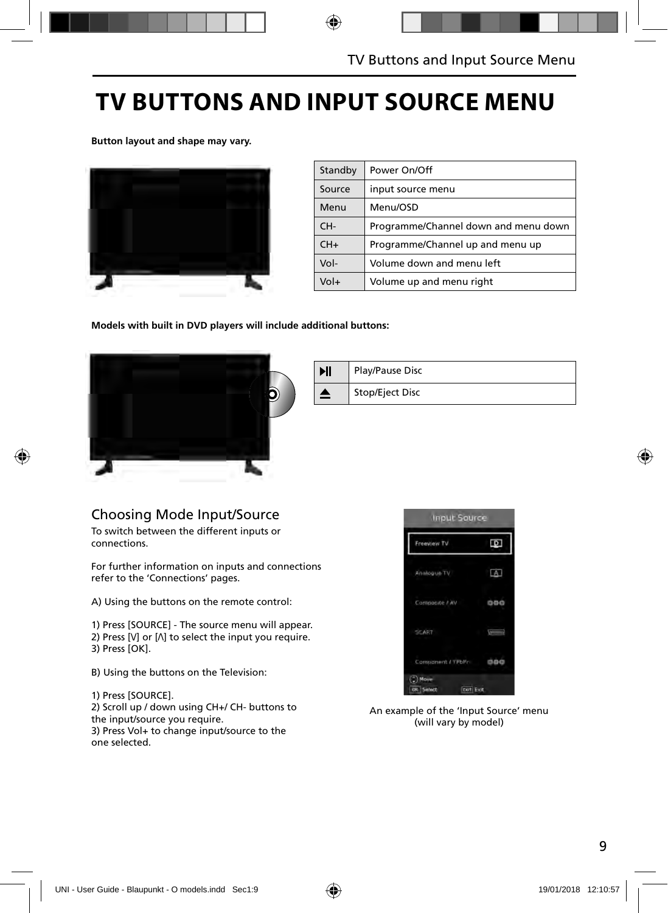## **TV BUTTONS AND INPUT SOURCE MENU**

**Button layout and shape may vary.**



| Standby | Power On/Off                         |
|---------|--------------------------------------|
| Source  | input source menu                    |
| Menu    | Menu/OSD                             |
| CH-     | Programme/Channel down and menu down |
| $CH+$   | Programme/Channel up and menu up     |
| Vol-    | Volume down and menu left            |
| Vol+    | Volume up and menu right             |

**Models with built in DVD players will include additional buttons:**



| ИI | Play/Pause Disc |
|----|-----------------|
|    | Stop/Eject Disc |

### Choosing Mode Input/Source

To switch between the different inputs or connections.

For further information on inputs and connections refer to the 'Connections' pages.

A) Using the buttons on the remote control:

1) Press [SOURCE] - The source menu will appear.

2) Press  $[V]$  or  $[\Lambda]$  to select the input you require. 3) Press [OK].

B) Using the buttons on the Television:

1) Press [SOURCE].

2) Scroll up / down using CH+/ CH- buttons to the input/source you require.

3) Press Vol+ to change input/source to the one selected.



An example of the 'Input Source' menu (will vary by model)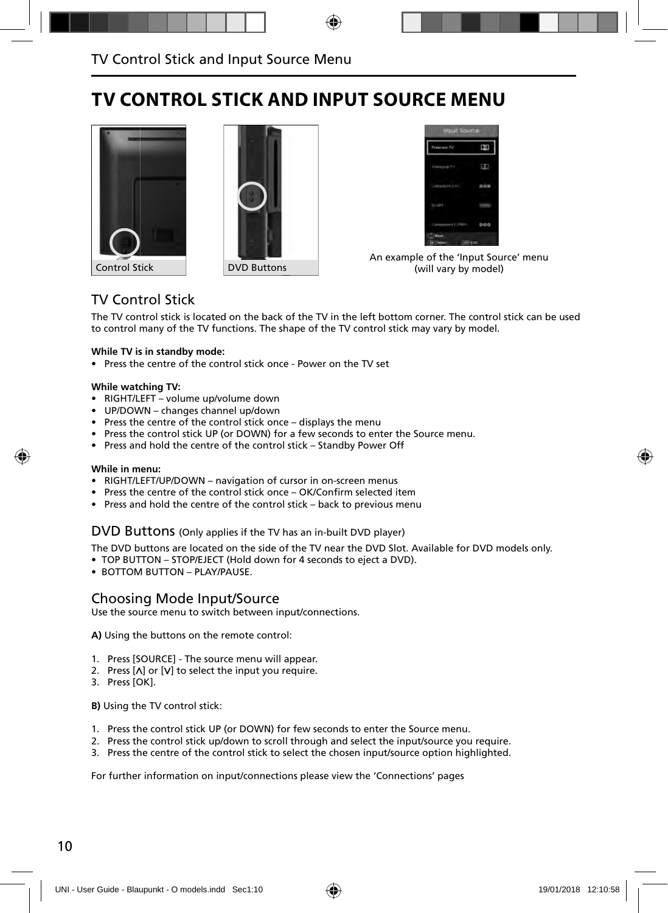### **TV CONTROL STICK AND INPUT SOURCE MENU**







An example of the 'Input Source' menu (will vary by model)

### TV Control Stick

The TV control stick is located on the back of the TV in the left bottom corner. The control stick can be used to control many of the TV functions. The shape of the TV control stick may vary by model.

#### **While TV is in standby mode:**

• Press the centre of the control stick once - Power on the TV set

#### **While watching TV:**

- RIGHT/LEFT volume up/volume down
- UP/DOWN changes channel up/down
- Press the centre of the control stick once displays the menu
- Press the control stick UP (or DOWN) for a few seconds to enter the Source menu.
- Press and hold the centre of the control stick Standby Power Off

#### **While in menu:**

- RIGHT/LEFT/UP/DOWN navigation of cursor in on-screen menus
- Press the centre of the control stick once OK/Confirm selected item
- Press and hold the centre of the control stick back to previous menu

#### DVD Buttons (Only applies if the TV has an in-built DVD player)

The DVD buttons are located on the side of the TV near the DVD Slot. Available for DVD models only.

- TOP BUTTON STOP/EJECT (Hold down for 4 seconds to eject a DVD).
- BOTTOM BUTTON PLAY/PAUSE.

#### Choosing Mode Input/Source

Use the source menu to switch between input/connections.

**A)** Using the buttons on the remote control:

- 1. Press [SOURCE] The source menu will appear.
- 2. Press  $[\Lambda]$  or  $[V]$  to select the input you require.
- 3. Press [OK].

**B)** Using the TV control stick:

- 1. Press the control stick UP (or DOWN) for few seconds to enter the Source menu.
- 2. Press the control stick up/down to scroll through and select the input/source you require.
- 3. Press the centre of the control stick to select the chosen input/source option highlighted.

For further information on input/connections please view the 'Connections' pages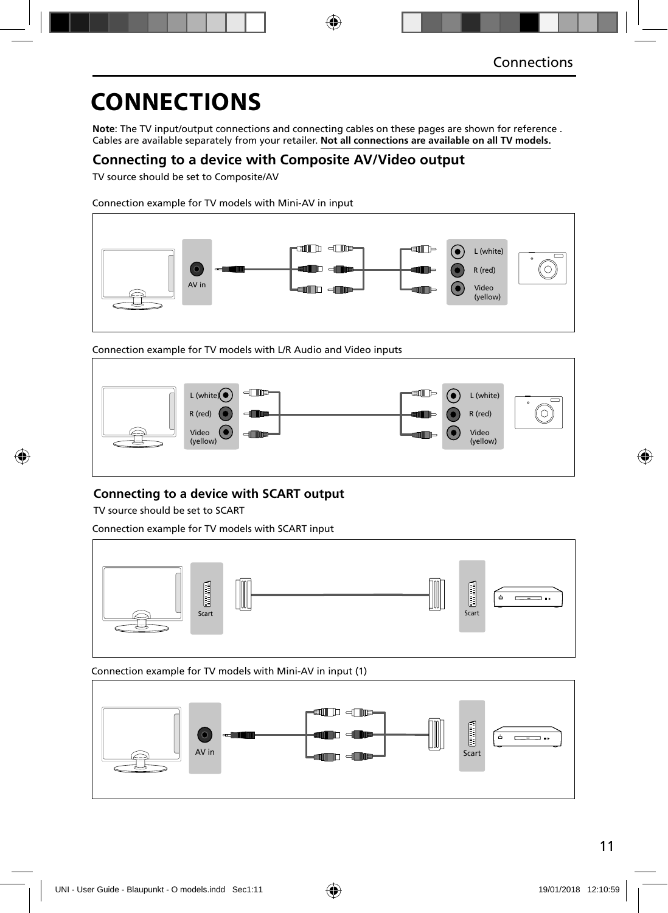**Note**: The TV input/output connections and connecting cables on these pages are shown for reference . Cables are available separately from your retailer. **Not all connections are available on all TV models.**

### **Connecting to a device with Composite AV/Video output**

TV source should be set to Composite/AV

Connection example for TV models with Mini-AV in input



Connection example for TV models with L/R Audio and Video inputs



### **Connecting to a device with SCART output**

TV source should be set to SCART

Connection example for TV models with SCART input



Connection example for TV models with Mini-AV in input (1)

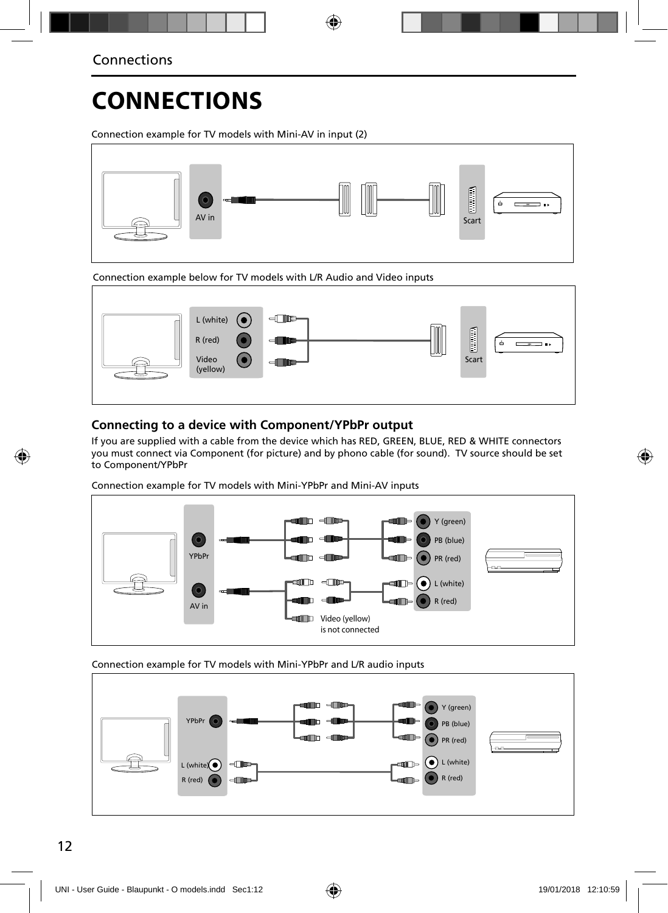Connection example for TV models with Mini-AV in input (2)



Connection example below for TV models with L/R Audio and Video inputs



### **Connecting to a device with Component/YPbPr output**

If you are supplied with a cable from the device which has RED, GREEN, BLUE, RED & WHITE connectors you must connect via Component (for picture) and by phono cable (for sound). TV source should be set to Component/YPbPr

Connection example for TV models with Mini-YPbPr and Mini-AV inputs



Connection example for TV models with Mini-YPbPr and L/R audio inputs

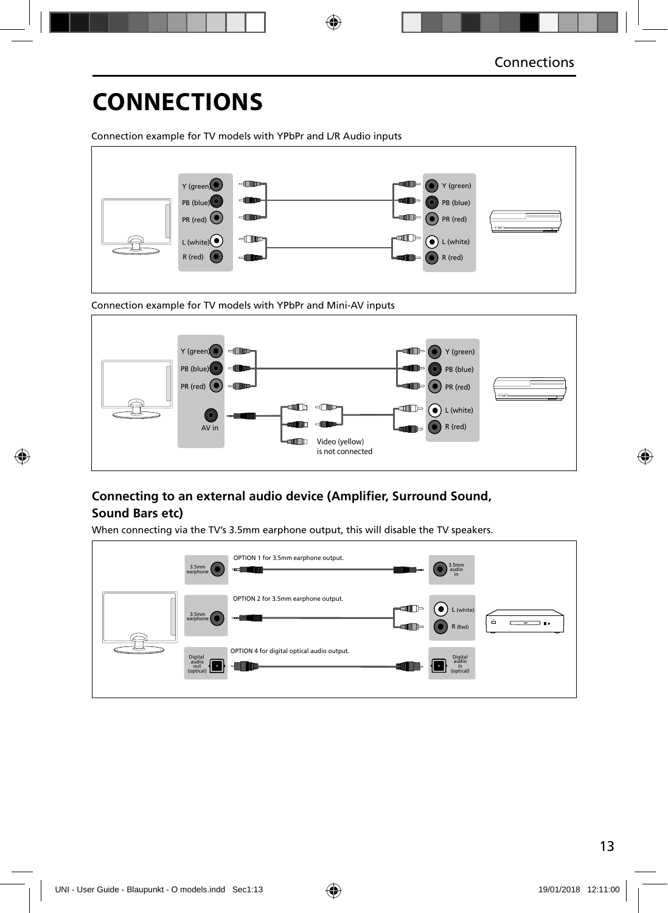Connection example for TV models with YPbPr and L/R Audio inputs



Connection example for TV models with YPbPr and Mini-AV inputs



### **Connecting to an external audio device (Amplifier, Surround Sound, Sound Bars etc)**

When connecting via the TV's 3.5mm earphone output, this will disable the TV speakers.

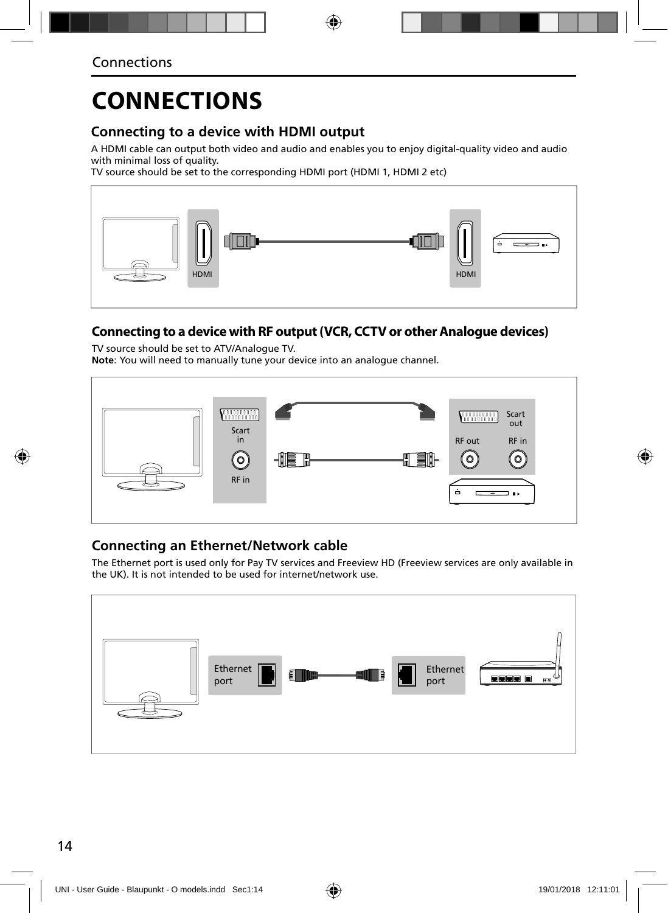### **Connecting to a device with HDMI output**

A HDMI cable can output both video and audio and enables you to enjoy digital-quality video and audio with minimal loss of quality.

TV source should be set to the corresponding HDMI port (HDMI 1, HDMI 2 etc)



### **Connecting to a device with RF output (VCR, CCTV or other Analogue devices)**

TV source should be set to ATV/Analogue TV. **Note**: You will need to manually tune your device into an analogue channel.



### **Connecting an Ethernet/Network cable**

The Ethernet port is used only for Pay TV services and Freeview HD (Freeview services are only available in the UK). It is not intended to be used for internet/network use.

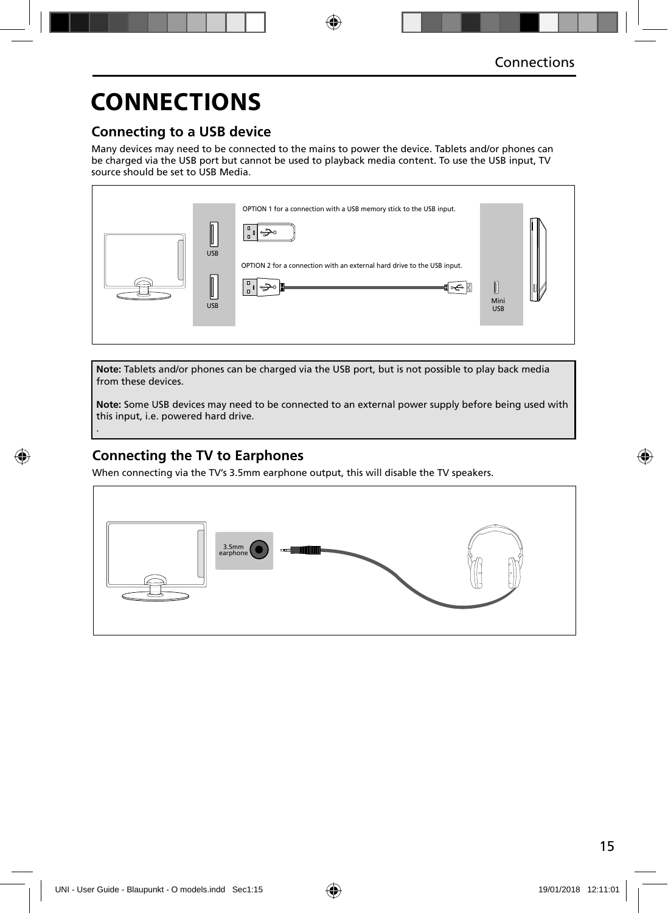### **Connecting to a USB device**

Many devices may need to be connected to the mains to power the device. Tablets and/or phones can be charged via the USB port but cannot be used to playback media content. To use the USB input, TV source should be set to USB Media.



**Note:** Tablets and/or phones can be charged via the USB port, but is not possible to play back media from these devices.

**Note:** Some USB devices may need to be connected to an external power supply before being used with this input, i.e. powered hard drive.

### **Connecting the TV to Earphones**

.

When connecting via the TV's 3.5mm earphone output, this will disable the TV speakers.

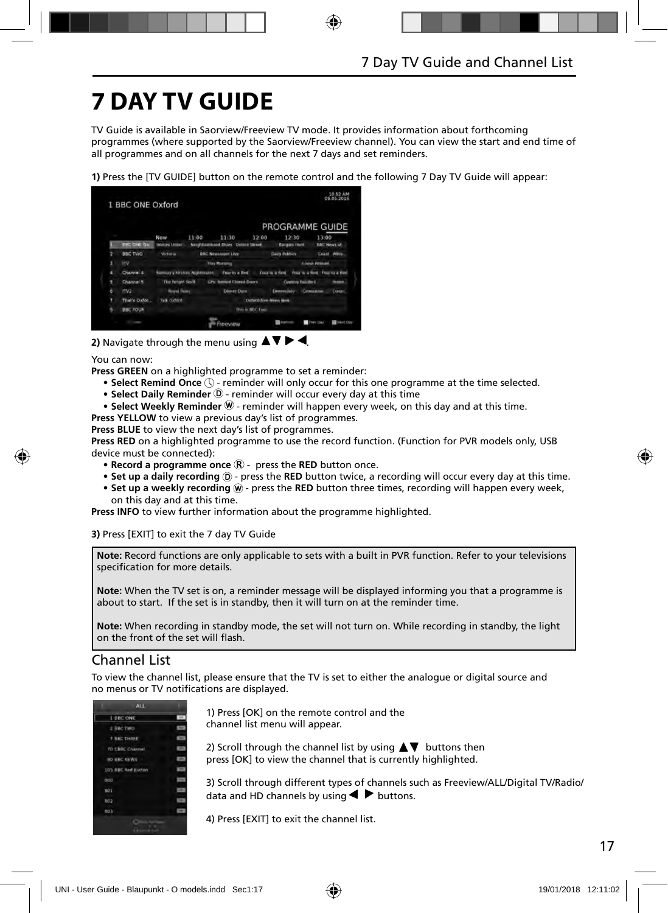# **7 DAY TV GUIDE**

TV Guide is available in Saorview/Freeview TV mode. It provides information about forthcoming programmes (where supported by the Saorview/Freeview channel). You can view the start and end time of all programmes and on all channels for the next 7 days and set reminders.

**1)** Press the [TV GUIDE] button on the remote control and the following 7 Day TV Guide will appear:



#### 2) Navigate through the menu using  $\blacktriangle \blacktriangledown \blacktriangleright \blacktriangleleft$ .

You can now:

**Press GREEN** on a highlighted programme to set a reminder:

- Select Remind Once  $\mathbb Q$  reminder will only occur for this one programme at the time selected.
- Select Daily Reminder <sup>(D</sup> reminder will occur every day at this time
- Select Weekly Reminder  $\mathcal{W}$  reminder will happen every week, on this day and at this time.
- **Press YELLOW** to view a previous day's list of programmes.

**Press BLUE** to view the next day's list of programmes.

**Press RED** on a highlighted programme to use the record function. (Function for PVR models only, USB device must be connected):

- **Record a programme once**  $\mathbb{R}$  press the **RED** button once.
- Set up a daily recording  $\odot$  press the RED button twice, a recording will occur every day at this time.
- Set up a weekly recording  $\widehat{w}$  press the RED button three times, recording will happen every week, on this day and at this time.

**Press INFO** to view further information about the programme highlighted.

**3)** Press [EXIT] to exit the 7 day TV Guide

**Note:** Record functions are only applicable to sets with a built in PVR function. Refer to your televisions specification for more details.

**Note:** When the TV set is on, a reminder message will be displayed informing you that a programme is about to start. If the set is in standby, then it will turn on at the reminder time.

**Note:** When recording in standby mode, the set will not turn on. While recording in standby, the light on the front of the set will flash.

#### Channel List

To view the channel list, please ensure that the TV is set to either the analogue or digital source and no menus or TV notifications are displayed.



1) Press [OK] on the remote control and the channel list menu will appear.

2) Scroll through the channel list by using  $\blacktriangle \blacktriangledown$  buttons then press [OK] to view the channel that is currently highlighted.

3) Scroll through different types of channels such as Freeview/ALL/Digital TV/Radio/ data and HD channels by using  $\blacktriangleleft$  buttons.

4) Press [EXIT] to exit the channel list.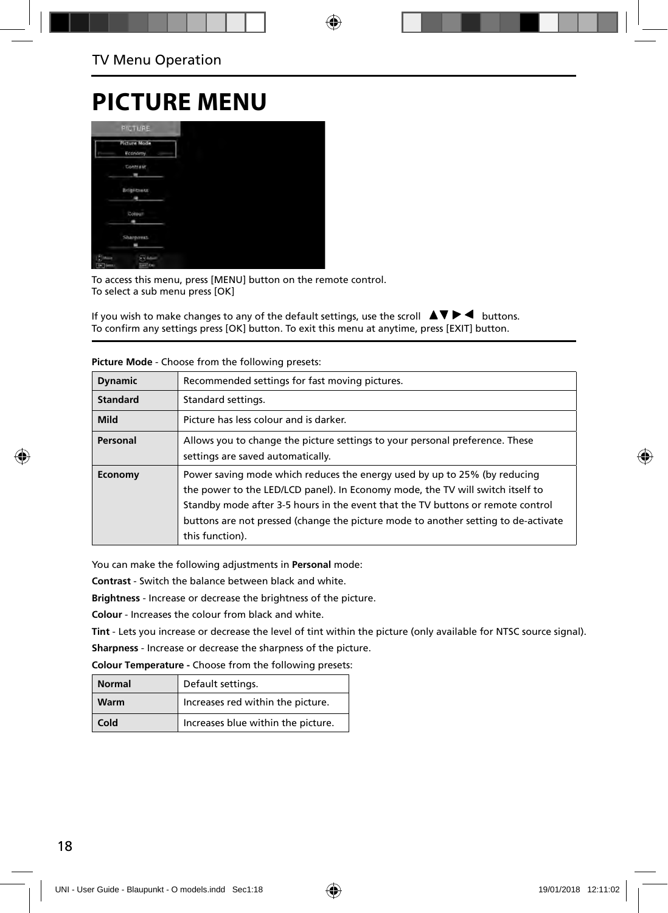### **PICTURE MENU**



To access this menu, press [MENU] button on the remote control. To select a sub menu press [OK]

If you wish to make changes to any of the default settings, use the scroll  $\blacktriangle \blacktriangledown \blacktriangleright \blacktriangleleft$  buttons. To confirm any settings press [OK] button. To exit this menu at anytime, press [EXIT] button.

| <b>Dynamic</b>  | Recommended settings for fast moving pictures.                                                                                                                                                                                                                                                                                                          |
|-----------------|---------------------------------------------------------------------------------------------------------------------------------------------------------------------------------------------------------------------------------------------------------------------------------------------------------------------------------------------------------|
| <b>Standard</b> | Standard settings.                                                                                                                                                                                                                                                                                                                                      |
| <b>Mild</b>     | Picture has less colour and is darker.                                                                                                                                                                                                                                                                                                                  |
| Personal        | Allows you to change the picture settings to your personal preference. These<br>settings are saved automatically.                                                                                                                                                                                                                                       |
| Economy         | Power saving mode which reduces the energy used by up to 25% (by reducing<br>the power to the LED/LCD panel). In Economy mode, the TV will switch itself to<br>Standby mode after 3-5 hours in the event that the TV buttons or remote control<br>buttons are not pressed (change the picture mode to another setting to de-activate<br>this function). |

**Picture Mode** - Choose from the following presets:

You can make the following adjustments in **Personal** mode:

**Contrast** - Switch the balance between black and white.

**Brightness** - Increase or decrease the brightness of the picture.

**Colour** - Increases the colour from black and white.

**Tint** - Lets you increase or decrease the level of tint within the picture (only available for NTSC source signal). **Sharpness** - Increase or decrease the sharpness of the picture.

**Colour Temperature -** Choose from the following presets:

| <b>Normal</b> | Default settings.                  |
|---------------|------------------------------------|
| Warm          | Increases red within the picture.  |
| Cold          | Increases blue within the picture. |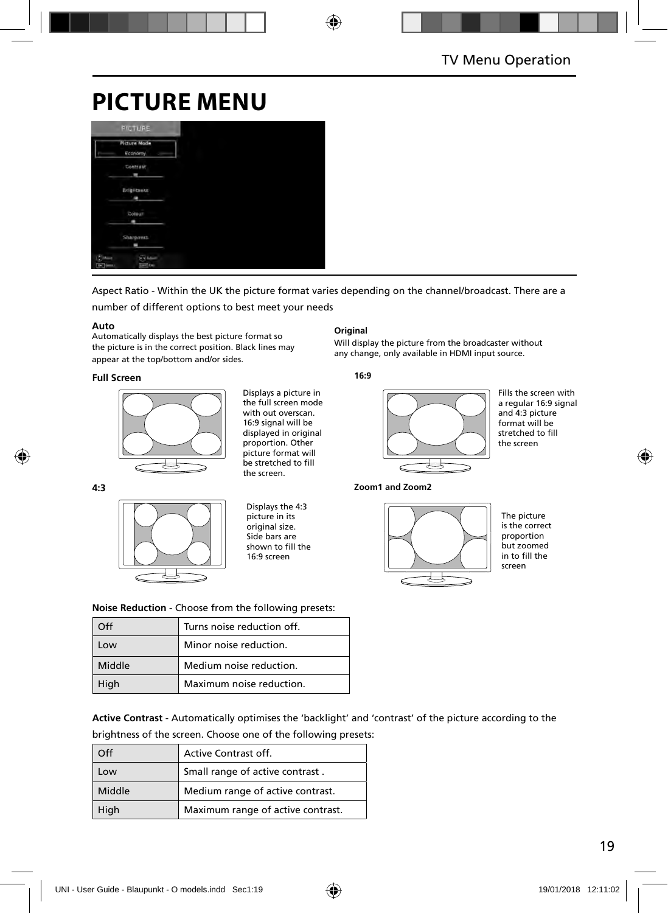## **PICTURE MENU**

| <b>PICTURE</b>                 |  |  |
|--------------------------------|--|--|
| <b>Picture Mode</b><br>Economy |  |  |
| Contrast                       |  |  |
| <b>Brigntness</b>              |  |  |
| Colour                         |  |  |
| <b>Sharpouss</b>               |  |  |
| <b>Fine</b><br><b>Land Fax</b> |  |  |

Aspect Ratio - Within the UK the picture format varies depending on the channel/broadcast. There are a

number of different options to best meet your needs

#### **Auto**

Automatically displays the best picture format so the picture is in the correct position. Black lines may appear at the top/bottom and/or sides.

#### **Full Screen**



Displays a picture in the full screen mode with out overscan. 16:9 signal will be displayed in original proportion. Other picture format will be stretched to fill the screen.

#### **4:3**



Displays the 4:3 picture in its original size. Side bars are shown to fill the 16:9 screen

#### **Original**

Will display the picture from the broadcaster without any change, only available in HDMI input source.

#### **16:9**



Fills the screen with a regular 16:9 signal and 4:3 picture format will be stretched to fill the screen

**Zoom1 and Zoom2**



The picture is the correct proportion but zoomed in to fill the screen

**Noise Reduction** - Choose from the following presets:

| ገff            | Turns noise reduction off. |
|----------------|----------------------------|
| $^{\text{OM}}$ | Minor noise reduction.     |
| Middle         | Medium noise reduction.    |
| High           | Maximum noise reduction.   |

**Active Contrast** - Automatically optimises the 'backlight' and 'contrast' of the picture according to the brightness of the screen. Choose one of the following presets:

| ገff    | Active Contrast off.              |
|--------|-----------------------------------|
| Low    | Small range of active contrast.   |
| Middle | Medium range of active contrast.  |
| High   | Maximum range of active contrast. |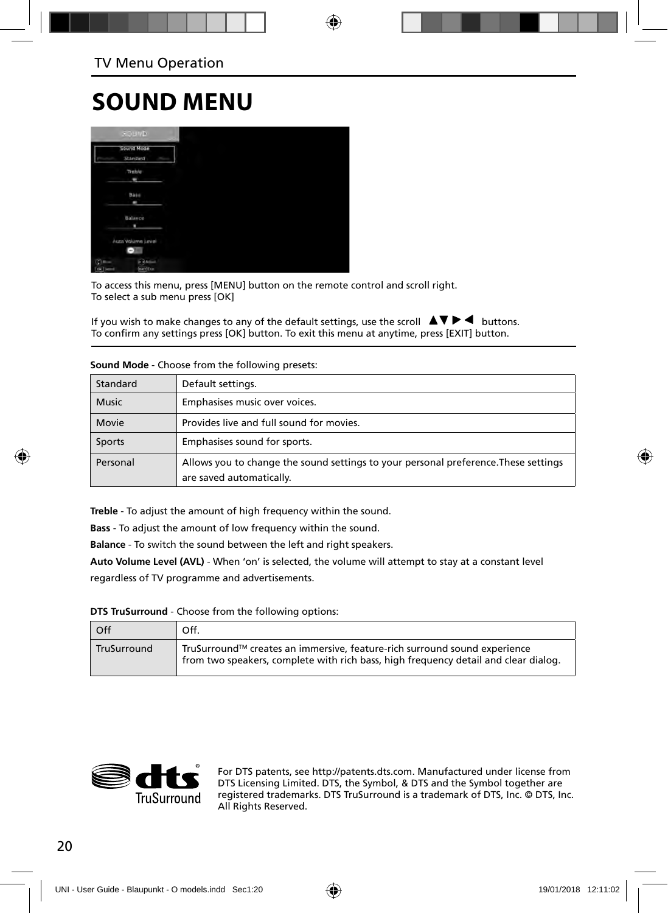### **SOUND MENU**



To access this menu, press [MENU] button on the remote control and scroll right. To select a sub menu press [OK]

If you wish to make changes to any of the default settings, use the scroll  $\Box \blacktriangledown \blacktriangleright \blacktriangleleft$  buttons. To confirm any settings press [OK] button. To exit this menu at anytime, press [EXIT] button.

| Standard     | Default settings.                                                                                               |
|--------------|-----------------------------------------------------------------------------------------------------------------|
| <b>Music</b> | Emphasises music over voices.                                                                                   |
| Movie        | Provides live and full sound for movies.                                                                        |
| Sports       | Emphasises sound for sports.                                                                                    |
| Personal     | Allows you to change the sound settings to your personal preference. These settings<br>are saved automatically. |

**Sound Mode** - Choose from the following presets:

**Treble** - To adjust the amount of high frequency within the sound.

**Bass** - To adjust the amount of low frequency within the sound.

**Balance** - To switch the sound between the left and right speakers.

**Auto Volume Level (AVL)** - When 'on' is selected, the volume will attempt to stay at a constant level regardless of TV programme and advertisements.

#### **DTS TruSurround** - Choose from the following options:

| Off         | Off.                                                                                                                                                             |
|-------------|------------------------------------------------------------------------------------------------------------------------------------------------------------------|
| TruSurround | TruSurround™ creates an immersive, feature-rich surround sound experience<br>from two speakers, complete with rich bass, high frequency detail and clear dialog. |



For DTS patents, see http://patents.dts.com. Manufactured under license from DTS Licensing Limited. DTS, the Symbol, & DTS and the Symbol together are registered trademarks. DTS TruSurround is a trademark of DTS, Inc. © DTS, Inc. All Rights Reserved.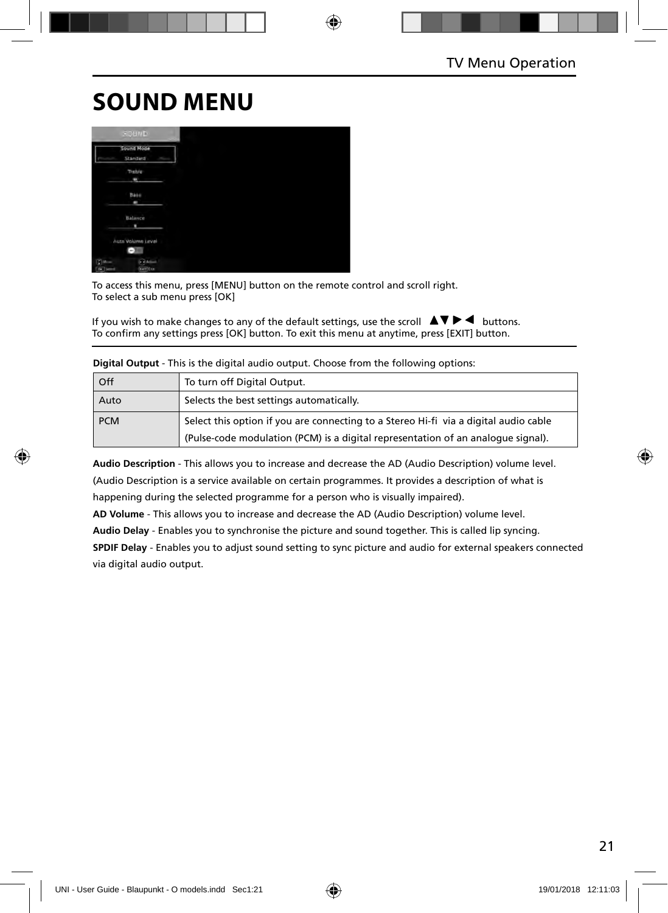## **SOUND MENU**



To access this menu, press [MENU] button on the remote control and scroll right. To select a sub menu press [OK]

If you wish to make changes to any of the default settings, use the scroll  $\blacktriangle \blacktriangledown \blacktriangleright \blacktriangleleft$  buttons. To confirm any settings press [OK] button. To exit this menu at anytime, press [EXIT] button.

| Off        | To turn off Digital Output.                                                          |
|------------|--------------------------------------------------------------------------------------|
| Auto       | Selects the best settings automatically.                                             |
| <b>PCM</b> | Select this option if you are connecting to a Stereo Hi-fi via a digital audio cable |
|            | (Pulse-code modulation (PCM) is a digital representation of an analogue signal).     |

**Digital Output** - This is the digital audio output. Choose from the following options:

**Audio Description** - This allows you to increase and decrease the AD (Audio Description) volume level. (Audio Description is a service available on certain programmes. It provides a description of what is happening during the selected programme for a person who is visually impaired).

**AD Volume** - This allows you to increase and decrease the AD (Audio Description) volume level.

**Audio Delay** - Enables you to synchronise the picture and sound together. This is called lip syncing.

**SPDIF Delay** - Enables you to adjust sound setting to sync picture and audio for external speakers connected via digital audio output.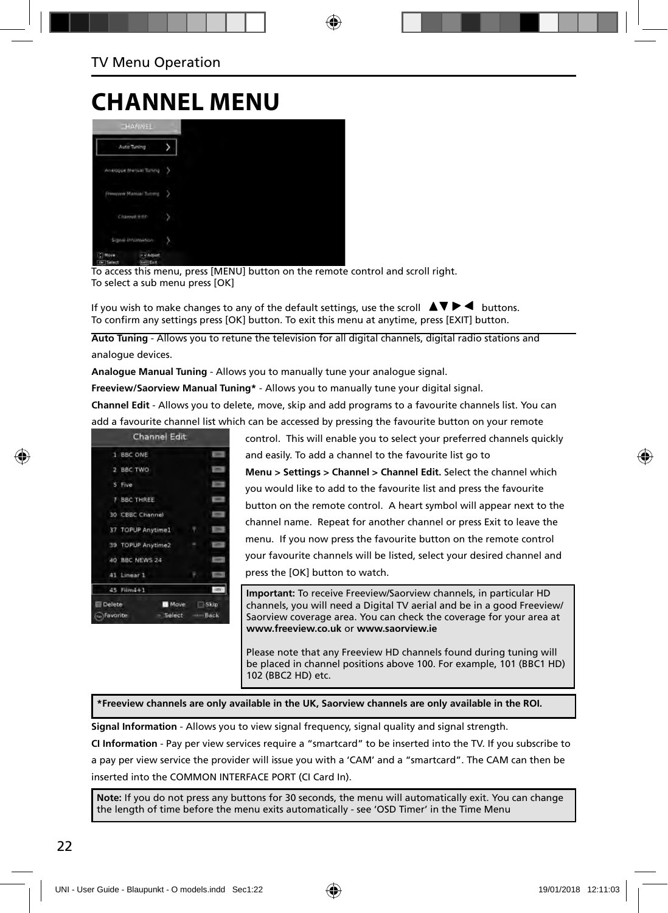### **CHANNEL MENU**

| <b>CHANNEL</b>                                                                            |                        |   |
|-------------------------------------------------------------------------------------------|------------------------|---|
|                                                                                           |                        | y |
| Auto Tuning<br>Winelogue Menual Tuning<br><b>Pressure Manuel Turismo</b><br>Channell Edit |                        | 2 |
|                                                                                           |                        | э |
|                                                                                           |                        | b |
| Signal Information                                                                        |                        | У |
| C) Move<br>Tow Select                                                                     | + + Aquat<br>tell East |   |

To access this menu, press [MENU] button on the remote control and scroll right. To select a sub menu press [OK]

If you wish to make changes to any of the default settings, use the scroll  $\Box \Box \blacktriangleright \blacktriangleleft$  buttons. To confirm any settings press [OK] button. To exit this menu at anytime, press [EXIT] button.

**Auto Tuning** - Allows you to retune the television for all digital channels, digital radio stations and analogue devices.

**Analogue Manual Tuning** - Allows you to manually tune your analogue signal.

**Freeview/Saorview Manual Tuning\*** - Allows you to manually tune your digital signal.

**Channel Edit** - Allows you to delete, move, skip and add programs to a favourite channels list. You can add a favourite channel list which can be accessed by pressing the favourite button on your remote

| 1 BBC ONE         |   | $\equiv$          |
|-------------------|---|-------------------|
| 2 BBC TWO         |   | ≂                 |
| 5 Five            |   | ۰                 |
| 7 BBC THREE       |   | $\equiv$          |
| 30 CBBC Channel   |   | $=$               |
| 37 TOPUP Anytime1 | ٠ | ▬                 |
| 39 TOPUP Anytime2 | × | ı                 |
| 40 BBC NEWS 24    |   | <b>Service</b>    |
| 41 Linear 1       | ۴ | <b>STATISTICS</b> |
| 45 Filin4+1       |   | <b>RONTH</b>      |

control. This will enable you to select your preferred channels quickly and easily. To add a channel to the favourite list go to **Menu > Settings > Channel > Channel Edit.** Select the channel which you would like to add to the favourite list and press the favourite button on the remote control. A heart symbol will appear next to the channel name. Repeat for another channel or press Exit to leave the menu. If you now press the favourite button on the remote control your favourite channels will be listed, select your desired channel and press the [OK] button to watch.

**Important:** To receive Freeview/Saorview channels, in particular HD channels, you will need a Digital TV aerial and be in a good Freeview/ Saorview coverage area. You can check the coverage for your area at **www.freeview.co.uk** or **www.saorview.ie**

Please note that any Freeview HD channels found during tuning will be placed in channel positions above 100. For example, 101 (BBC1 HD) 102 (BBC2 HD) etc.

**\*Freeview channels are only available in the UK, Saorview channels are only available in the ROI.**

**Signal Information** - Allows you to view signal frequency, signal quality and signal strength.

**CI Information** - Pay per view services require a "smartcard" to be inserted into the TV. If you subscribe to a pay per view service the provider will issue you with a 'CAM' and a "smartcard". The CAM can then be inserted into the COMMON INTERFACE PORT (CI Card In).

**Note:** If you do not press any buttons for 30 seconds, the menu will automatically exit. You can change the length of time before the menu exits automatically - see 'OSD Timer' in the Time Menu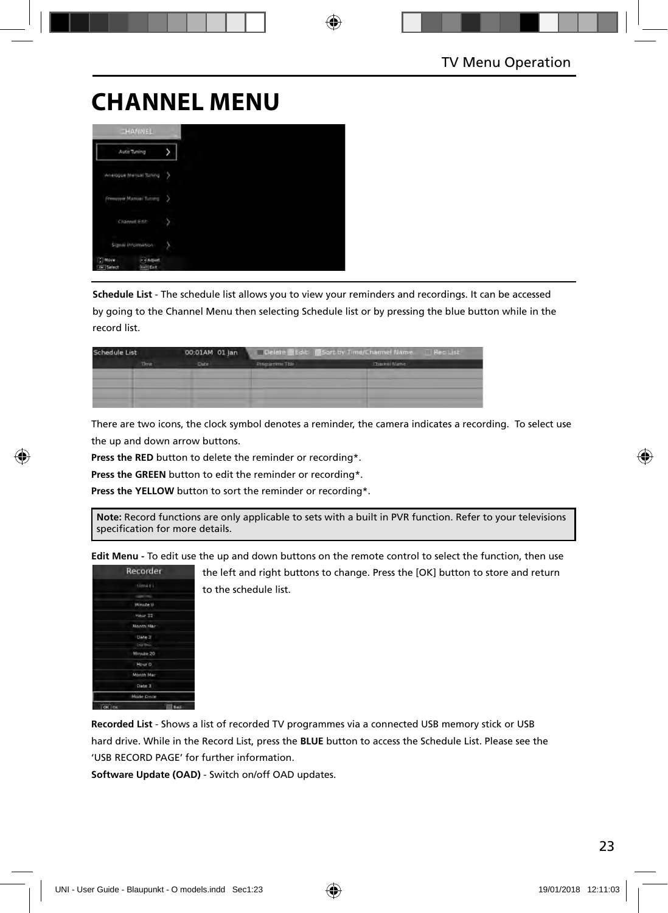## **CHANNEL MENU**



**Schedule List** - The schedule list allows you to view your reminders and recordings. It can be accessed by going to the Channel Menu then selecting Schedule list or by pressing the blue button while in the record list.

| Schedule List |       | 00:01AM 01 Jan | Delete Edit Sort by Time/Channel Name<br>Red List |              |  |
|---------------|-------|----------------|---------------------------------------------------|--------------|--|
|               | Three | Date:          | <b>Frequenime Title</b>                           | Ehannel Name |  |
|               |       |                |                                                   |              |  |
|               |       |                |                                                   |              |  |
|               |       |                |                                                   |              |  |

There are two icons, the clock symbol denotes a reminder, the camera indicates a recording. To select use the up and down arrow buttons.

**Press the RED** button to delete the reminder or recording\*.

**Press the GREEN** button to edit the reminder or recording\*.

Press the YELLOW button to sort the reminder or recording\*.

**Note:** Record functions are only applicable to sets with a built in PVR function. Refer to your televisions specification for more details.

**Edit Menu -** To edit use the up and down buttons on the remote control to select the function, then use

| Recorder        |             |
|-----------------|-------------|
| Litro 4 6 L     |             |
|                 |             |
| Minice II       |             |
| Hour 33         |             |
| Month Mar       |             |
| Date 3          |             |
| <b>INSTRUCT</b> |             |
| Minute 20       |             |
| Hour 0          |             |
| Month Mar       |             |
| Date 3          |             |
| Mode Once       |             |
| G C             | <b>Bail</b> |

the left and right buttons to change. Press the [OK] button to store and return to the schedule list.

**Recorded List** - Shows a list of recorded TV programmes via a connected USB memory stick or USB hard drive. While in the Record List, press the **BLUE** button to access the Schedule List. Please see the 'USB RECORD PAGE' for further information.

**Software Update (OAD)** - Switch on/off OAD updates.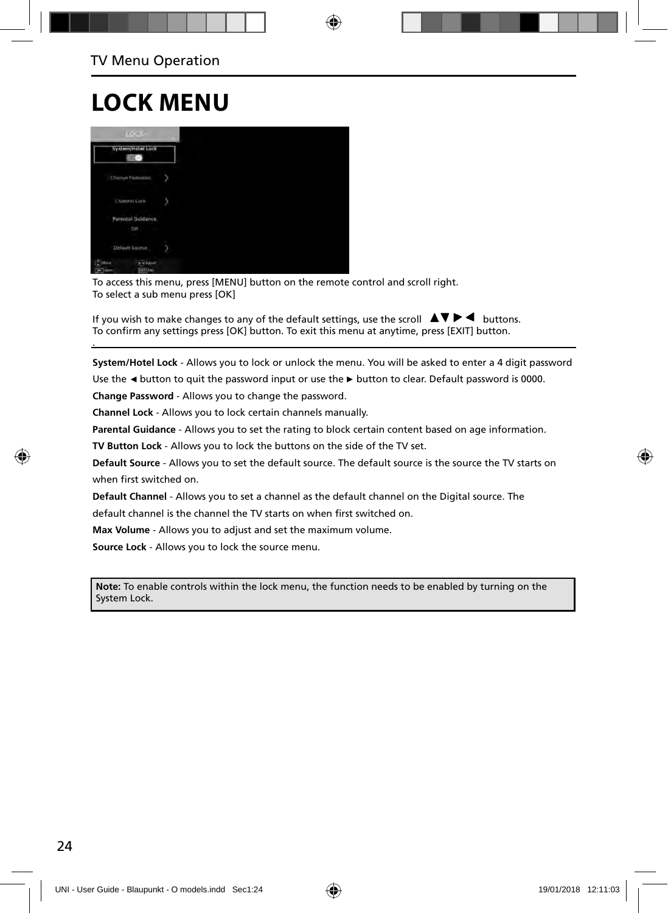# **LOCK MENU**

.



To access this menu, press [MENU] button on the remote control and scroll right. To select a sub menu press [OK]

If you wish to make changes to any of the default settings, use the scroll  $\Box \blacktriangledown \blacktriangleright \blacktriangleleft$  buttons. To confirm any settings press [OK] button. To exit this menu at anytime, press [EXIT] button.

**System/Hotel Lock** - Allows you to lock or unlock the menu. You will be asked to enter a 4 digit password

Use the **◄** button to quit the password input or use the **►** button to clear. Default password is 0000.

**Change Password** - Allows you to change the password.

**Channel Lock** - Allows you to lock certain channels manually.

**Parental Guidance** - Allows you to set the rating to block certain content based on age information.

**TV Button Lock** - Allows you to lock the buttons on the side of the TV set.

**Default Source** - Allows you to set the default source. The default source is the source the TV starts on when first switched on.

**Default Channel** - Allows you to set a channel as the default channel on the Digital source. The

default channel is the channel the TV starts on when first switched on.

**Max Volume** - Allows you to adjust and set the maximum volume.

**Source Lock** - Allows you to lock the source menu.

**Note:** To enable controls within the lock menu, the function needs to be enabled by turning on the System Lock.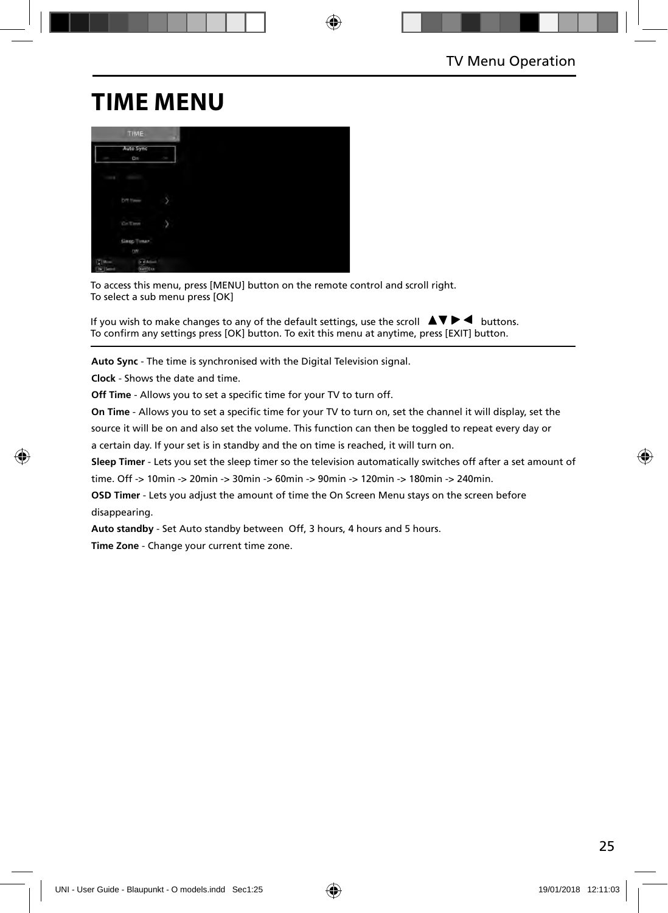## **TIME MENU**

|        | TIME.                            |   |
|--------|----------------------------------|---|
|        | Auto Sync<br>0n                  | ł |
|        | costs. Con-                      |   |
|        | Dff/Times                        | y |
|        | Collins                          | ù |
|        | Sinep Timer<br>O(1)              |   |
| $CDM-$ | <b>GRANIA</b><br><b>EATT</b> (EA |   |

To access this menu, press [MENU] button on the remote control and scroll right. To select a sub menu press [OK]

If you wish to make changes to any of the default settings, use the scroll  $\Delta \nabla \blacktriangleright$   $\blacktriangleleft$  buttons. To confirm any settings press [OK] button. To exit this menu at anytime, press [EXIT] button.

**Auto Sync** - The time is synchronised with the Digital Television signal.

**Clock** - Shows the date and time.

**Off Time** - Allows you to set a specific time for your TV to turn off.

**On Time** - Allows you to set a specific time for your TV to turn on, set the channel it will display, set the

source it will be on and also set the volume. This function can then be toggled to repeat every day or

a certain day. If your set is in standby and the on time is reached, it will turn on.

**Sleep Timer** - Lets you set the sleep timer so the television automatically switches off after a set amount of time. Off -> 10min -> 20min -> 30min -> 60min -> 90min -> 120min -> 180min -> 240min.

**OSD Timer** - Lets you adjust the amount of time the On Screen Menu stays on the screen before disappearing.

**Auto standby** - Set Auto standby between Off, 3 hours, 4 hours and 5 hours.

**Time Zone** - Change your current time zone.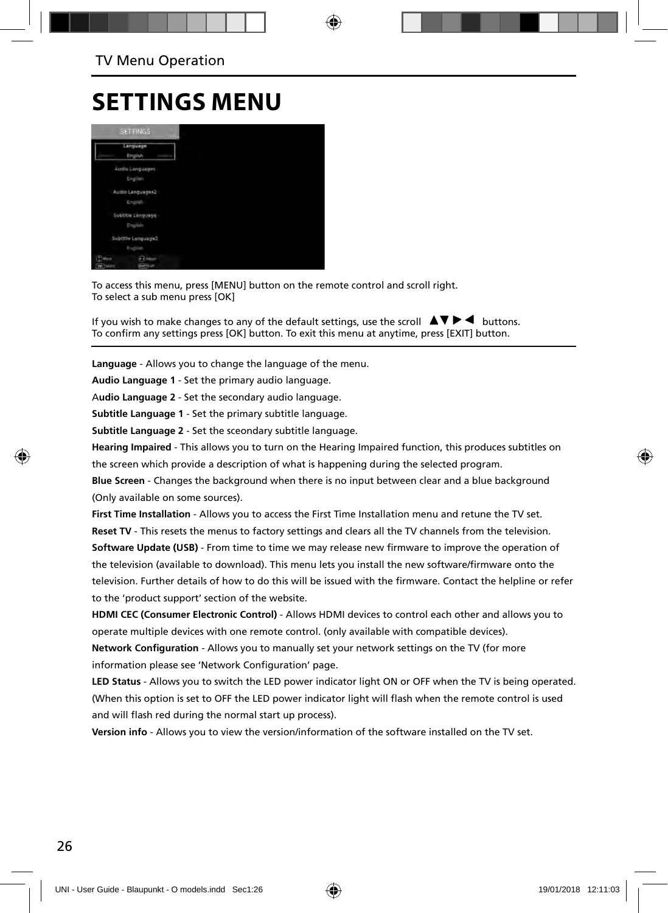### **SETTINGS MENU**



To access this menu, press [MENU] button on the remote control and scroll right. To select a sub menu press [OK]

If you wish to make changes to any of the default settings, use the scroll  $\Box \blacktriangledown \blacktriangleright \blacktriangleleft$  buttons. To confirm any settings press [OK] button. To exit this menu at anytime, press [EXIT] button.

**Language** - Allows you to change the language of the menu.

**Audio Language 1** - Set the primary audio language.

A**udio Language 2** - Set the secondary audio language.

**Subtitle Language 1** - Set the primary subtitle language.

**Subtitle Language 2** - Set the sceondary subtitle language.

**Hearing Impaired** - This allows you to turn on the Hearing Impaired function, this produces subtitles on the screen which provide a description of what is happening during the selected program.

**Blue Screen** - Changes the background when there is no input between clear and a blue background (Only available on some sources).

**First Time Installation** - Allows you to access the First Time Installation menu and retune the TV set. **Reset TV** - This resets the menus to factory settings and clears all the TV channels from the television.

**Software Update (USB)** - From time to time we may release new firmware to improve the operation of the television (available to download). This menu lets you install the new software/firmware onto the television. Further details of how to do this will be issued with the firmware. Contact the helpline or refer to the 'product support' section of the website.

**HDMI CEC (Consumer Electronic Control)** - Allows HDMI devices to control each other and allows you to operate multiple devices with one remote control. (only available with compatible devices).

**Network Configuration** - Allows you to manually set your network settings on the TV (for more information please see 'Network Configuration' page.

**LED Status** - Allows you to switch the LED power indicator light ON or OFF when the TV is being operated. (When this option is set to OFF the LED power indicator light will flash when the remote control is used and will flash red during the normal start up process).

**Version info** - Allows you to view the version/information of the software installed on the TV set.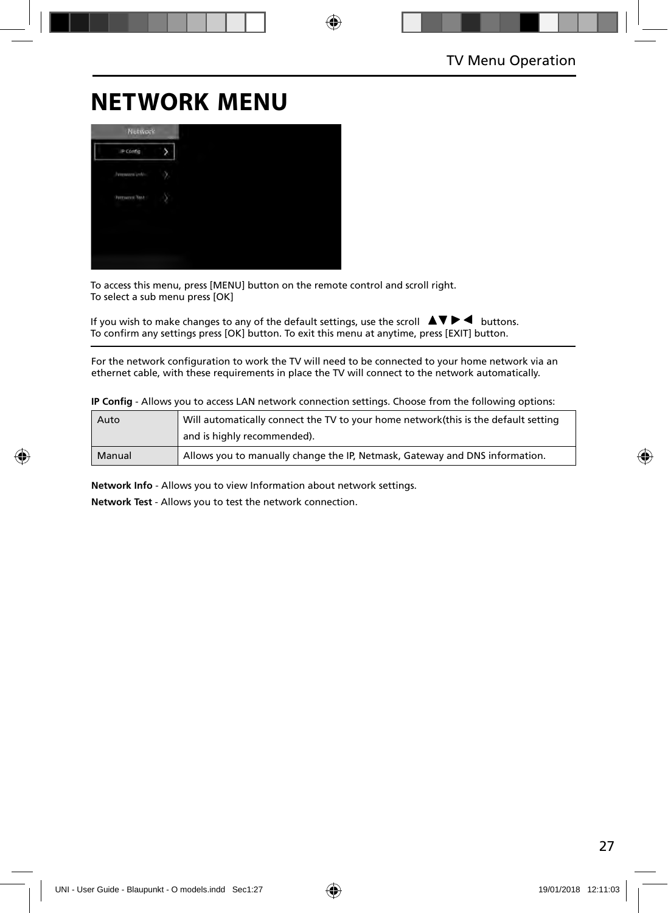## **NETWORK MENU**

| <b>Network</b>        |  |
|-----------------------|--|
| IP Config             |  |
| <b>January Lot</b>    |  |
| <b>Permanent Text</b> |  |
|                       |  |
|                       |  |
|                       |  |

To access this menu, press [MENU] button on the remote control and scroll right. To select a sub menu press [OK]

If you wish to make changes to any of the default settings, use the scroll  $\Box \blacktriangledown \blacktriangleright \blacktriangleleft$  buttons. To confirm any settings press [OK] button. To exit this menu at anytime, press [EXIT] button.

For the network configuration to work the TV will need to be connected to your home network via an ethernet cable, with these requirements in place the TV will connect to the network automatically.

**IP Config** - Allows you to access LAN network connection settings. Choose from the following options:

| Auto   | Will automatically connect the TV to your home network (this is the default setting |
|--------|-------------------------------------------------------------------------------------|
|        | and is highly recommended).                                                         |
| Manual | Allows you to manually change the IP, Netmask, Gateway and DNS information.         |

**Network Info** - Allows you to view Information about network settings.

**Network Test** - Allows you to test the network connection.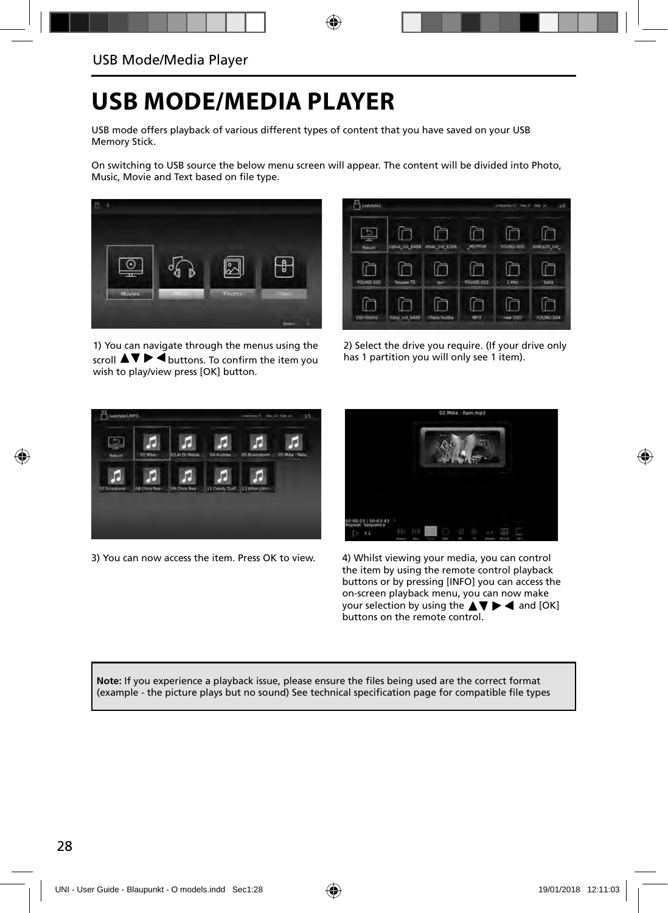## **USB MODE/MEDIA PLAYER**

USB mode offers playback of various different types of content that you have saved on your USB Memory Stick.

On switching to USB source the below menu screen will appear. The content will be divided into Photo, Music, Movie and Text based on file type.



1) You can navigate through the menus using the scroll  $\triangle \blacktriangledown \blacktriangleright \blacktriangleleft$  buttons. To confirm the item you wish to play/view press [OK] button.



2) Select the drive you require. (If your drive only has 1 partition you will only see 1 item).



3) You can now access the item. Press OK to view. 4) Whilst viewing your media, you can control



the item by using the remote control playback buttons or by pressing [INFO] you can access the on-screen playback menu, you can now make your selection by using the  $\blacktriangle \blacktriangledown \blacktriangleright \blacktriangleleft$  and [OK] buttons on the remote control.

Note: If you experience a playback issue, please ensure the files being used are the correct format (example - the picture plays but no sound) See technical specification page for compatible file types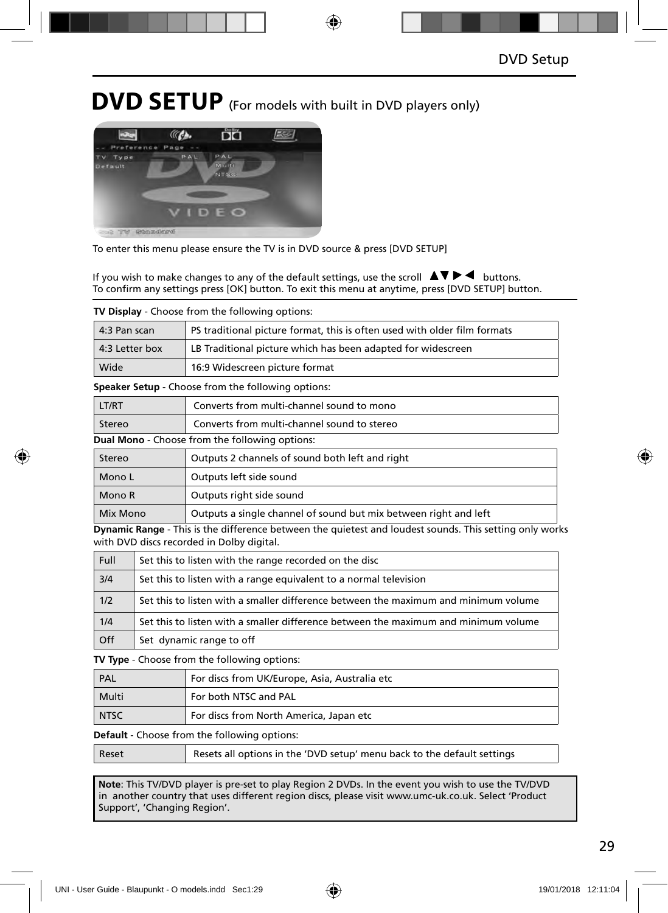### **DVD SETUP** (For models with built in DVD players only)



To enter this menu please ensure the TV is in DVD source & press [DVD SETUP]

If you wish to make changes to any of the default settings, use the scroll  $\Delta \nabla \blacktriangleright$   $\blacktriangleleft$  buttons. To confirm any settings press [OK] button. To exit this menu at anytime, press [DVD SETUP] button.

| <b>TV Display</b> - Choose from the following options: |                                                                           |  |
|--------------------------------------------------------|---------------------------------------------------------------------------|--|
| 4:3 Pan scan                                           | PS traditional picture format, this is often used with older film formats |  |
| 4:3 Letter box                                         | LB Traditional picture which has been adapted for widescreen              |  |
| Wide                                                   | 16:9 Widescreen picture format                                            |  |

**Speaker Setup** - Choose from the following options:

| LT/RT  | Converts from multi-channel sound to mono             |  |
|--------|-------------------------------------------------------|--|
| Stereo | Converts from multi-channel sound to stereo           |  |
|        | <b>Dual Mono</b> - Choose from the following options: |  |
| $C+$   | Outpute 2 channels of sound both loft and right       |  |

| Stereo   | Outputs 2 channels of sound both left and right                  |  |
|----------|------------------------------------------------------------------|--|
| Mono L   | Outputs left side sound                                          |  |
| Mono R   | Outputs right side sound                                         |  |
| Mix Mono | Outputs a single channel of sound but mix between right and left |  |

**Dynamic Range** - This is the difference between the quietest and loudest sounds. This setting only works with DVD discs recorded in Dolby digital.

| Full | Set this to listen with the range recorded on the disc                              |
|------|-------------------------------------------------------------------------------------|
| 3/4  | Set this to listen with a range equivalent to a normal television                   |
| 1/2  | Set this to listen with a smaller difference between the maximum and minimum volume |
| 1/4  | Set this to listen with a smaller difference between the maximum and minimum volume |
| Off  | Set dynamic range to off                                                            |

**TV Type** - Choose from the following options:

| PAL         | For discs from UK/Europe, Asia, Australia etc |
|-------------|-----------------------------------------------|
| Multi       | For both NTSC and PAL                         |
| <b>NTSC</b> | For discs from North America, Japan etc       |

**Default** - Choose from the following options:

| Resets all options in the 'DVD setup' menu back to the default settings<br>Reset |
|----------------------------------------------------------------------------------|
|----------------------------------------------------------------------------------|

**Note**: This TV/DVD player is pre-set to play Region 2 DVDs. In the event you wish to use the TV/DVD in another country that uses different region discs, please visit www.umc-uk.co.uk. Select 'Product Support', 'Changing Region'.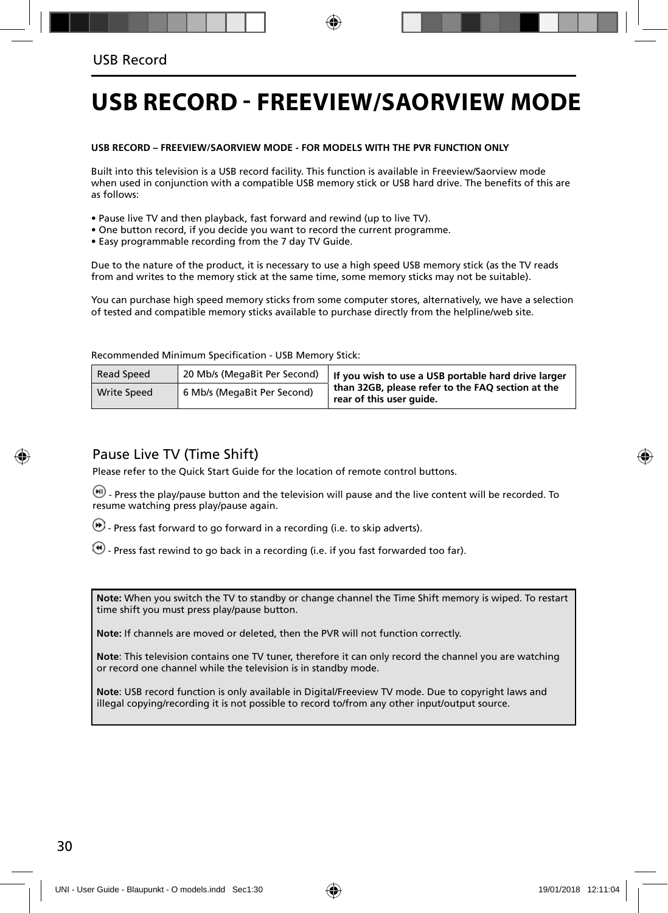## **USB RECORD - FREEVIEW/SAORVIEW MODE**

#### **USB RECORD – FREEVIEW/SAORVIEW MODE - FOR MODELS WITH THE PVR FUNCTION ONLY**

Built into this television is a USB record facility. This function is available in Freeview/Saorview mode when used in conjunction with a compatible USB memory stick or USB hard drive. The benefits of this are as follows:

- Pause live TV and then playback, fast forward and rewind (up to live TV).
- One button record, if you decide you want to record the current programme.
- Easy programmable recording from the 7 day TV Guide.

Due to the nature of the product, it is necessary to use a high speed USB memory stick (as the TV reads from and writes to the memory stick at the same time, some memory sticks may not be suitable).

You can purchase high speed memory sticks from some computer stores, alternatively, we have a selection of tested and compatible memory sticks available to purchase directly from the helpline/web site.

Recommended Minimum Specification - USB Memory Stick:

| Read Speed         | 20 Mb/s (MegaBit Per Second) | If you wish to use a USB portable hard drive larger<br>than 32GB, please refer to the FAO section at the<br>rear of this user guide. |  |
|--------------------|------------------------------|--------------------------------------------------------------------------------------------------------------------------------------|--|
| <b>Write Speed</b> | 6 Mb/s (MegaBit Per Second)  |                                                                                                                                      |  |

#### Pause Live TV (Time Shift)

Please refer to the Quick Start Guide for the location of remote control buttons.

 $(\mathbf{H})$  - Press the play/pause button and the television will pause and the live content will be recorded. To resume watching press play/pause again.

- $\left(\bullet\right)$  Press fast forward to go forward in a recording (i.e. to skip adverts).
- $\bigcirc$  Press fast rewind to go back in a recording (i.e. if you fast forwarded too far).

**Note:** When you switch the TV to standby or change channel the Time Shift memory is wiped. To restart time shift you must press play/pause button.

**Note:** If channels are moved or deleted, then the PVR will not function correctly.

**Note**: This television contains one TV tuner, therefore it can only record the channel you are watching or record one channel while the television is in standby mode.

**Note**: USB record function is only available in Digital/Freeview TV mode. Due to copyright laws and illegal copying/recording it is not possible to record to/from any other input/output source.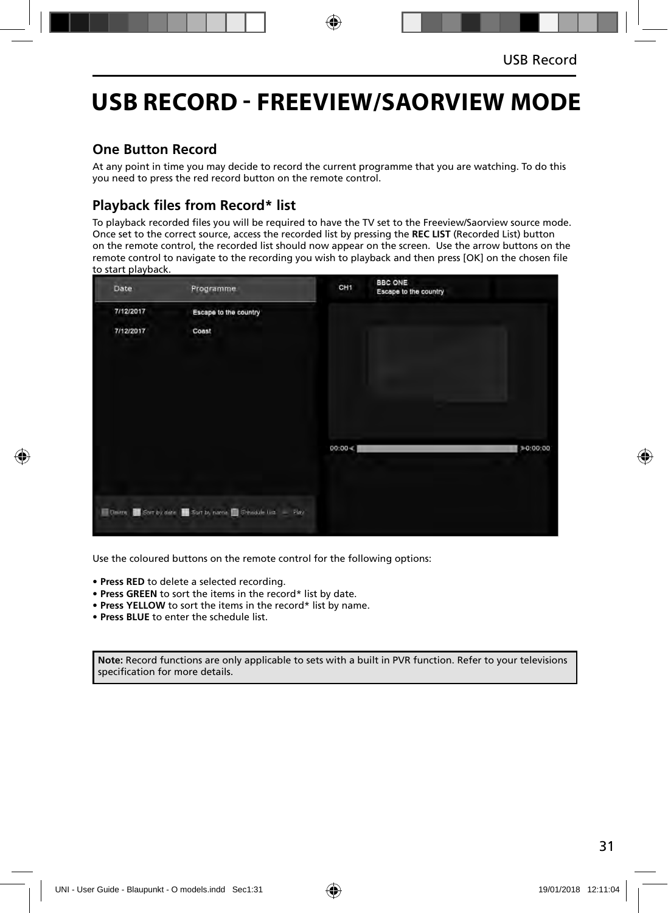### **USB RECORD - FREEVIEW/SAORVIEW MODE**

### **One Button Record**

At any point in time you may decide to record the current programme that you are watching. To do this you need to press the red record button on the remote control.

### **Playback files from Record\* list**

To playback recorded files you will be required to have the TV set to the Freeview/Saorview source mode. Once set to the correct source, access the recorded list by pressing the **REC LIST** (Recorded List) button on the remote control, the recorded list should now appear on the screen. Use the arrow buttons on the remote control to navigate to the recording you wish to playback and then press [OK] on the chosen file to start playback.



Use the coloured buttons on the remote control for the following options:

- **Press RED** to delete a selected recording.
- **Press GREEN** to sort the items in the record\* list by date.
- **Press YELLOW** to sort the items in the record\* list by name.
- **Press BLUE** to enter the schedule list.

**Note:** Record functions are only applicable to sets with a built in PVR function. Refer to your televisions specification for more details.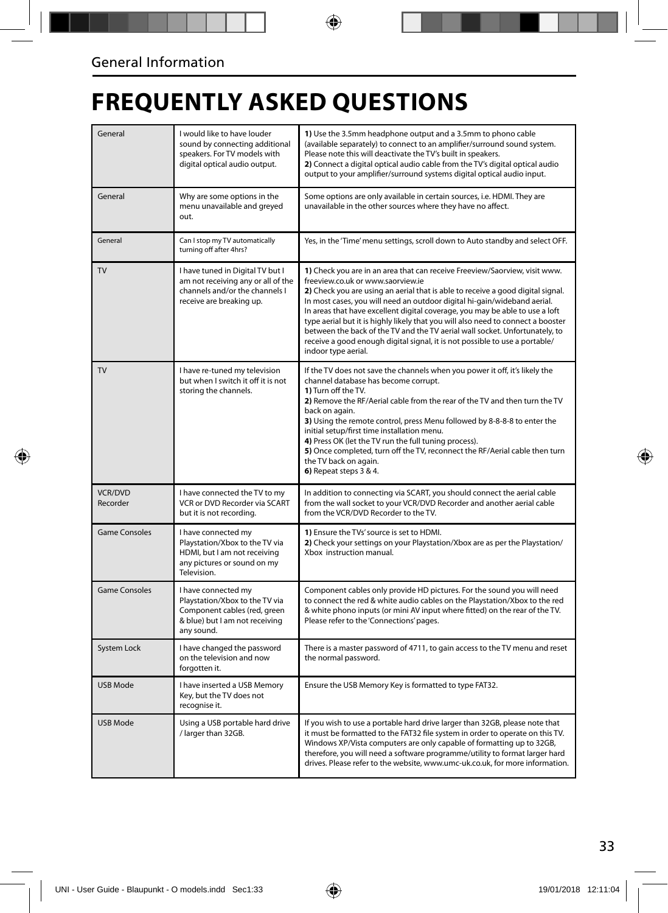## **FREQUENTLY ASKED QUESTIONS**

| General                    | I would like to have louder<br>sound by connecting additional<br>speakers. For TV models with<br>digital optical audio output.        | 1) Use the 3.5mm headphone output and a 3.5mm to phono cable<br>(available separately) to connect to an amplifier/surround sound system.<br>Please note this will deactivate the TV's built in speakers.<br>2) Connect a digital optical audio cable from the TV's digital optical audio<br>output to your amplifier/surround systems digital optical audio input.                                                                                                                                                                                                                                                                      |  |
|----------------------------|---------------------------------------------------------------------------------------------------------------------------------------|-----------------------------------------------------------------------------------------------------------------------------------------------------------------------------------------------------------------------------------------------------------------------------------------------------------------------------------------------------------------------------------------------------------------------------------------------------------------------------------------------------------------------------------------------------------------------------------------------------------------------------------------|--|
| General                    | Why are some options in the<br>menu unavailable and greyed<br>out.                                                                    | Some options are only available in certain sources, i.e. HDMI. They are<br>unavailable in the other sources where they have no affect.                                                                                                                                                                                                                                                                                                                                                                                                                                                                                                  |  |
| General                    | Can I stop my TV automatically<br>turning off after 4hrs?                                                                             | Yes, in the 'Time' menu settings, scroll down to Auto standby and select OFF.                                                                                                                                                                                                                                                                                                                                                                                                                                                                                                                                                           |  |
| TV                         | I have tuned in Digital TV but I<br>am not receiving any or all of the<br>channels and/or the channels I<br>receive are breaking up.  | 1) Check you are in an area that can receive Freeview/Saorview, visit www.<br>freeview.co.uk or www.saorview.ie<br>2) Check you are using an aerial that is able to receive a good digital signal.<br>In most cases, you will need an outdoor digital hi-gain/wideband aerial.<br>In areas that have excellent digital coverage, you may be able to use a loft<br>type aerial but it is highly likely that you will also need to connect a booster<br>between the back of the TV and the TV aerial wall socket. Unfortunately, to<br>receive a good enough digital signal, it is not possible to use a portable/<br>indoor type aerial. |  |
| <b>TV</b>                  | I have re-tuned my television<br>but when I switch it off it is not<br>storing the channels.                                          | If the TV does not save the channels when you power it off, it's likely the<br>channel database has become corrupt.<br>1) Turn off the TV.<br>2) Remove the RF/Aerial cable from the rear of the TV and then turn the TV<br>back on again.<br>3) Using the remote control, press Menu followed by 8-8-8-8 to enter the<br>initial setup/first time installation menu.<br>4) Press OK (let the TV run the full tuning process).<br>5) Once completed, turn off the TV, reconnect the RF/Aerial cable then turn<br>the TV back on again.<br>6) Repeat steps 3 & 4.                                                                        |  |
| <b>VCR/DVD</b><br>Recorder | I have connected the TV to my<br>VCR or DVD Recorder via SCART<br>but it is not recording.                                            | In addition to connecting via SCART, you should connect the aerial cable<br>from the wall socket to your VCR/DVD Recorder and another aerial cable<br>from the VCR/DVD Recorder to the TV.                                                                                                                                                                                                                                                                                                                                                                                                                                              |  |
| <b>Game Consoles</b>       | I have connected my<br>Playstation/Xbox to the TV via<br>HDMI, but I am not receiving<br>any pictures or sound on my<br>Television.   | 1) Ensure the TVs' source is set to HDMI.<br>2) Check your settings on your Playstation/Xbox are as per the Playstation/<br>Xbox instruction manual.                                                                                                                                                                                                                                                                                                                                                                                                                                                                                    |  |
| <b>Game Consoles</b>       | I have connected my<br>Playstation/Xbox to the TV via<br>Component cables (red, green<br>& blue) but I am not receiving<br>any sound. | Component cables only provide HD pictures. For the sound you will need<br>to connect the red & white audio cables on the Playstation/Xbox to the red<br>& white phono inputs (or mini AV input where fitted) on the rear of the TV.<br>Please refer to the 'Connections' pages.                                                                                                                                                                                                                                                                                                                                                         |  |
| System Lock                | I have changed the password<br>on the television and now<br>forgotten it.                                                             | There is a master password of 4711, to gain access to the TV menu and reset<br>the normal password.                                                                                                                                                                                                                                                                                                                                                                                                                                                                                                                                     |  |
| <b>USB Mode</b>            | I have inserted a USB Memory<br>Key, but the TV does not<br>recognise it.                                                             | Ensure the USB Memory Key is formatted to type FAT32.                                                                                                                                                                                                                                                                                                                                                                                                                                                                                                                                                                                   |  |
| <b>USB Mode</b>            | Using a USB portable hard drive<br>/ larger than 32GB.                                                                                | If you wish to use a portable hard drive larger than 32GB, please note that<br>it must be formatted to the FAT32 file system in order to operate on this TV.<br>Windows XP/Vista computers are only capable of formatting up to 32GB,<br>therefore, you will need a software programme/utility to format larger hard<br>drives. Please refer to the website, www.umc-uk.co.uk, for more information.                                                                                                                                                                                                                                    |  |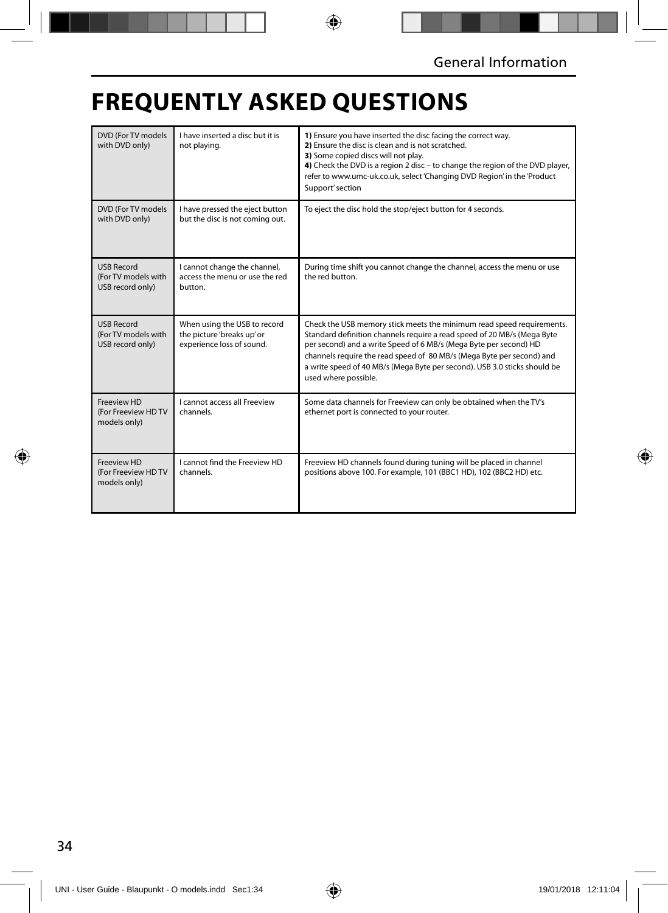## **FREQUENTLY ASKED QUESTIONS**

| DVD (For TV models<br>with DVD only)                         | I have inserted a disc but it is<br>not playing.                                        | 1) Ensure you have inserted the disc facing the correct way.<br>2) Ensure the disc is clean and is not scratched.<br>3) Some copied discs will not play.<br>4) Check the DVD is a region 2 disc - to change the region of the DVD player,<br>refer to www.umc-uk.co.uk, select 'Changing DVD Region' in the 'Product<br>Support' section                                                            |
|--------------------------------------------------------------|-----------------------------------------------------------------------------------------|-----------------------------------------------------------------------------------------------------------------------------------------------------------------------------------------------------------------------------------------------------------------------------------------------------------------------------------------------------------------------------------------------------|
| DVD (For TV models<br>with DVD only)                         | I have pressed the eject button<br>but the disc is not coming out.                      | To eject the disc hold the stop/eject button for 4 seconds.                                                                                                                                                                                                                                                                                                                                         |
| <b>USB Record</b><br>(For TV models with<br>USB record only) | I cannot change the channel,<br>access the menu or use the red<br>button.               | During time shift you cannot change the channel, access the menu or use<br>the red button.                                                                                                                                                                                                                                                                                                          |
| <b>USB Record</b><br>(For TV models with<br>USB record only) | When using the USB to record<br>the picture 'breaks up' or<br>experience loss of sound. | Check the USB memory stick meets the minimum read speed requirements.<br>Standard definition channels require a read speed of 20 MB/s (Mega Byte<br>per second) and a write Speed of 6 MB/s (Mega Byte per second) HD<br>channels require the read speed of 80 MB/s (Mega Byte per second) and<br>a write speed of 40 MB/s (Mega Byte per second). USB 3.0 sticks should be<br>used where possible. |
| Freeview HD<br>(For Freeview HD TV<br>models only)           | I cannot access all Freeview<br>channels.                                               | Some data channels for Freeview can only be obtained when the TV's<br>ethernet port is connected to your router.                                                                                                                                                                                                                                                                                    |
| Freeview HD<br>(For Freeview HD TV<br>models only)           | I cannot find the Freeview HD<br>channels.                                              | Freeview HD channels found during tuning will be placed in channel<br>positions above 100. For example, 101 (BBC1 HD), 102 (BBC2 HD) etc.                                                                                                                                                                                                                                                           |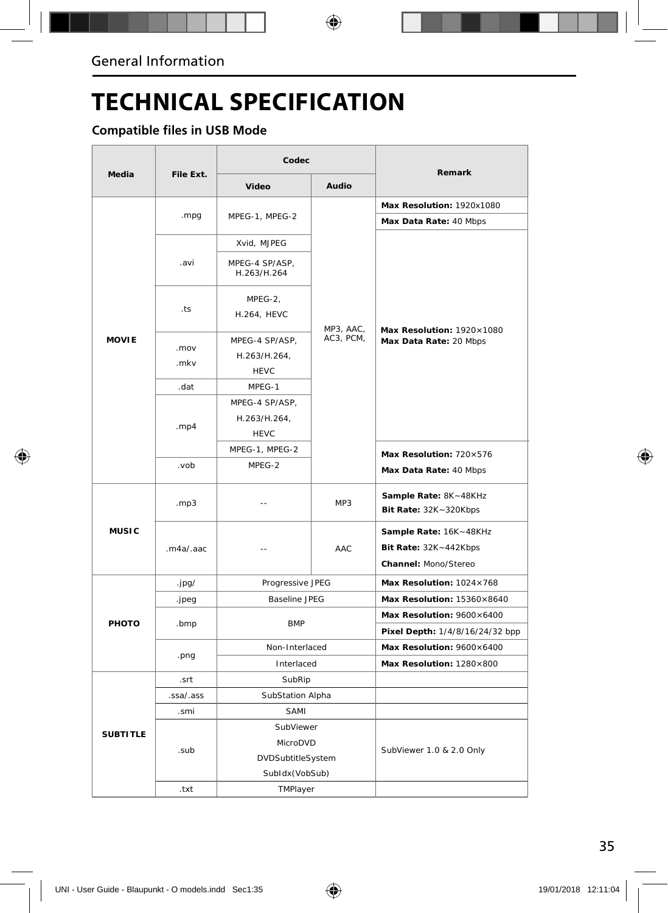## **TECHNICAL SPECIFICATION**

### **Compatible files in USB Mode**

|                 | File Ext.    | Codec                         |           |                                                     |
|-----------------|--------------|-------------------------------|-----------|-----------------------------------------------------|
| <b>Media</b>    |              | Video                         | Audio     | Remark                                              |
|                 |              |                               |           | Max Resolution: 1920x1080                           |
|                 | .mpg         | MPEG-1, MPEG-2                | MP3, AAC, | Max Data Rate: 40 Mbps                              |
|                 |              | Xvid, MJPEG                   |           | Max Resolution: 1920×1080<br>Max Data Rate: 20 Mbps |
|                 | .avi         | MPEG-4 SP/ASP,<br>H.263/H.264 |           |                                                     |
|                 | .ts          | MPEG-2,<br><b>H.264, HEVC</b> |           |                                                     |
| <b>MOVIE</b>    |              | MPEG-4 SP/ASP,                | AC3, PCM, |                                                     |
|                 | .mov<br>.mkv | H.263/H.264,                  |           |                                                     |
|                 |              | <b>HEVC</b>                   |           |                                                     |
|                 | .dat         | MPEG-1                        |           |                                                     |
|                 |              | MPEG-4 SP/ASP,                |           |                                                     |
|                 | . $mp4$      | H.263/H.264,                  |           |                                                     |
|                 |              | <b>HEVC</b>                   |           |                                                     |
|                 |              | MPEG-1, MPEG-2                |           | Max Resolution: 720×576                             |
|                 | dov.         | MPEG-2                        |           | Max Data Rate: 40 Mbps                              |
|                 | .mp3         | $\overline{a}$                | MP3       | Sample Rate: 8K~48KHz<br>Bit Rate: 32K~320Kbps      |
| <b>MUSIC</b>    |              |                               | AAC       |                                                     |
|                 | .m4a/.aac    | $\overline{a}$                |           | Sample Rate: 16K~48KHz<br>Bit Rate: 32K~442Kbps     |
|                 |              |                               |           | Channel: Mono/Stereo                                |
|                 | .jpg/        | Progressive JPEG              |           | Max Resolution: 1024×768                            |
| PHOTO           | .jpeg        | <b>Baseline JPEG</b>          |           | Max Resolution: 15360×8640                          |
|                 |              |                               |           | Max Resolution: 9600×6400                           |
|                 | .bmp         | <b>BMP</b>                    |           | Pixel Depth: 1/4/8/16/24/32 bpp                     |
|                 | .png         | Non-Interlaced                |           | Max Resolution: 9600×6400                           |
|                 |              | Interlaced                    |           | Max Resolution: 1280×800                            |
|                 | .srt         | SubRip                        |           |                                                     |
| <b>SUBTITLE</b> | .ssa/.ass    | SubStation Alpha              |           |                                                     |
|                 | .smi         | SAMI                          |           |                                                     |
|                 |              | SubViewer                     |           | SubViewer 1.0 & 2.0 Only                            |
|                 | .sub         | MicroDVD                      |           |                                                     |
|                 |              | DVDSubtitleSystem             |           |                                                     |
|                 |              | SubIdx (VobSub)               |           |                                                     |
|                 | .txt         | TMPlayer                      |           |                                                     |